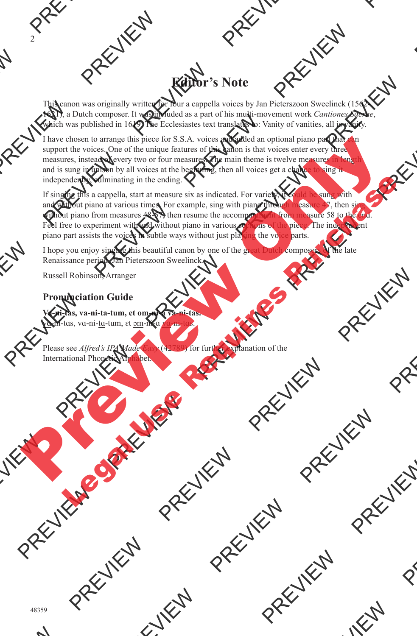## **Editor's Note**

This canon was originally written for four a cappella voices by Jan Pieterszoon Sweelinck (1562- 1621), a Dutch composer. It was included as a part of his multi-movement work *Cantiones Sacrae*, which was published in 1619. The Ecclesiastes text translates to: Vanity of vanities, all is vanity.

I have chosen to arrange this piece for S.S.A. voices and added an optional piano part that can support the voices. One of the unique features of this canon is that voices enter every three measures, instead of every two or four measures. The main theme is twelve measures in length and is sung in unison by all voices at the beginning, then all voices get a chance to sing it independently, culminating in the ending.

If singing this a cappella, start at measure six as indicated. For variety, it could be sung with and without piano at various times. For example, sing with piano through measure 47, then sing without piano from measures  $48-57$ , then resume the accompaniment from measure  $58$  to the Feel free to experiment with and without piano in various sections of the piece. The independent piano part assists the voices in subtle ways without just playing the voice parts. **Example 18 Second 18 Second 18 Second 18 Second 18 Second 18 Second 18 Second 18 Second 18 Second 18 Second 18 Second 18 Second 18 Second 18 Second 18 Second 18 Second 18 Second 18 Second 18 Second 18 Second 18 Second 18 PREVIEW AND THE CONSULTERATION** CONSULTED THE CONSULTED USE CONSULTED TO THE CONSULTED TO THE CONSULTED TO THE CONSULTED USE INTO THE CONSULTED USE OF A PREVIEW PREVIEW PREVIEW PREVIEW PREVIEW PREVIEW PREVIEW PREVIEW PRE Express or experiment with a formula prior in the control of the control of the stress of the stress of the stress of the stress of the stress of the stress of the stress of the stress of the stress of the stress of the st PREVIEW PREVIEW PREVIEW PREVIEW PREVIEW PREVIEW PREVIEW PREVIEW PREVIEW PREVIEW PREVIEW PREVIEW PREVIEW PREVIEW PREVIEW PREVIEW PREVIEW PREVIEW PREVIEW PREVIEW PREVIEW PREVIEW PREVIEW PREVIEW PREVIEW PREVIEW PREVIEW PREVIE PREVIEW PREVIEW PREVIEW PREVIEW PREVIEW PREVIEW PREVIEW PREVIEW PREVIEW PREVIEW PREVIEW PREVIEW PREVIEW PREVIEW PREVIEW PREVIEW PREVIEW PREVIEW PREVIEW PREVIEW PREVIEW PREVIEW PREVIEW PREVIEW PREVIEW PREVIEW PREVIEW PREVIE PREVIEW PREVIEW PREVIEW PREVIEW PREVIEW PREVIEW PREVIEW PREVIEW PREVIEW PREVIEW PREVIEW PREVIEW PREVIEW PREVIEW PREVIEW PREVIEW PREVIEW PREVIEW PREVIEW PREVIEW PREVIEW PREVIEW PREVIEW PREVIEW PREVIEW PREVIEW PREVIEW PREVIE PREVIEW PREVIEW PREVIEW PREVIEW PREVIEW PREVIEW PREVIEW PREVIEW PREVIEW PREVIEW PREVIEW PREVIEW PREVIEW PREVIEW PREVIEW PREVIEW PREVIEW PREVIEW PREVIEW PREVIEW PREVIEW PREVIEW PREVIEW PREVIEW PREVIEW PREVIEW PREVIEW PREVIE PREVIEW PREVIEW AND CONTROL CONTROL CONTROL CONTROL CONTROL CONTROL CONTROL CONTROL CONTROL CONTROL CONTROL CONTROL CONTROL CONTROL CONTROL CONTROL CONTROL CONTROL CONTROL CONTROL CONTROL CONTROL CONTROL CONTROL CONTROL CO is a capella, start at measures it is a microsoft electrometric and the value of the preview of the preview preview preview preview preview preview preview preview preview preview preview preview and the value of the previ There choose to arrest of the SSA voices and added an opticinal phano partitude and six support the voices of the transport file can be for the main terms of this canon is that voices enter every three measures. The main t endently, culminating in the ending<br>
Engine this cappella, start at measure six as indicated. For variety, it is<br>
diction piano at various times. For example, sing with piano through the summer of<br>
the particle of experime

I hope you enjoy singing this beautiful canon by one of the great Dutch composers of the late Renaissance period, Jan Pieterszoon Sweelinck. Established and the contribution of the company of the late

Russell Robinson, Arranger

## **Pronunciation Guide**

**Va-ni-tas, va-ni-ta-tum, et om-ni-a va-ni-tas.** va-ni-tas, va-ni-ta-tum, et om-ni-a

Please see *Alfred's IPA Made Easy* (42789) for further explanation of the International Phonetic Alphabet. PREVIEW PREVIEW PREVIEW PREVIEW PREVIEW PREVIEW PREVIEW PREVIEW PREVIEW PREVIEW PREVIEW PREVIEW PREVIEW PREVIEW PREVIEW PREVIEW PREVIEW PREVIEW PREVIEW PREVIEW PREVIEW PREVIEW PREVIEW PREVIEW PREVIEW PREVIEW PREVIEW PREVIE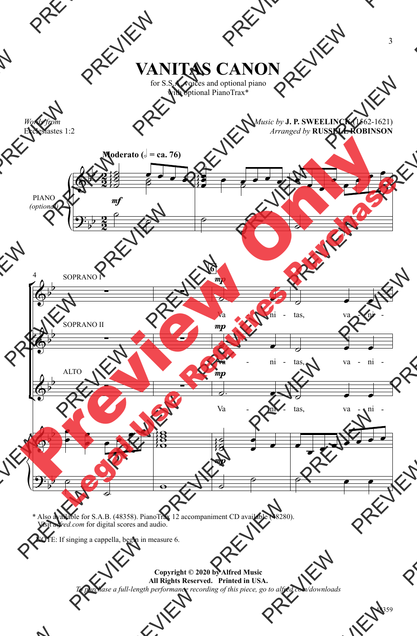## **VANITAS CANON**

for S.S.A. voices and optional piano with optional PianoTrax\*



\* Also available for S.A.B. (48358). PianoTrax 12 accompaniment CD available (48280). Visit *alfred.com* for digital scores and audio.

NOTE: If singing a cappella, begin in measure 6.

**Copyright © 2020 by Alfred Music All Rights Reserved. Printed in USA.** *To purchase a full-length performance recording of this piece, go to alfred.com/downloads*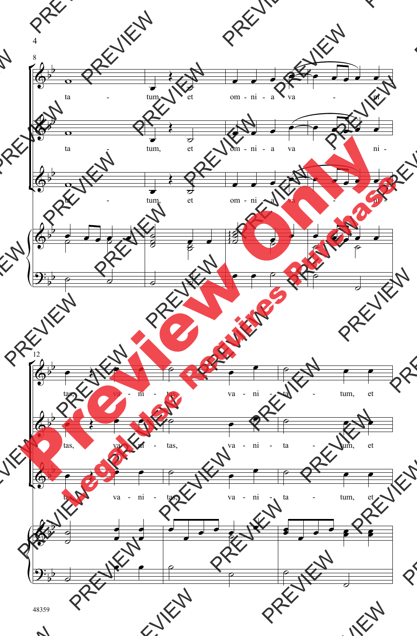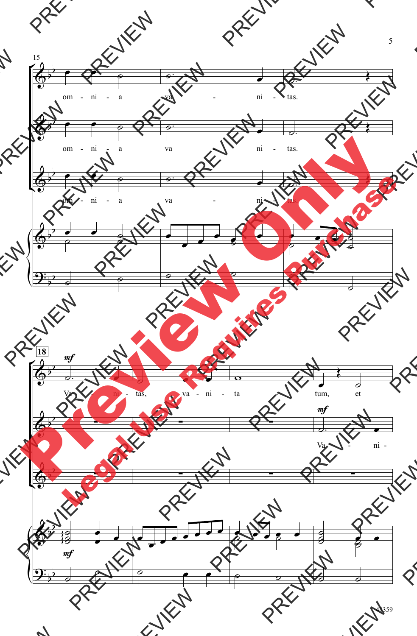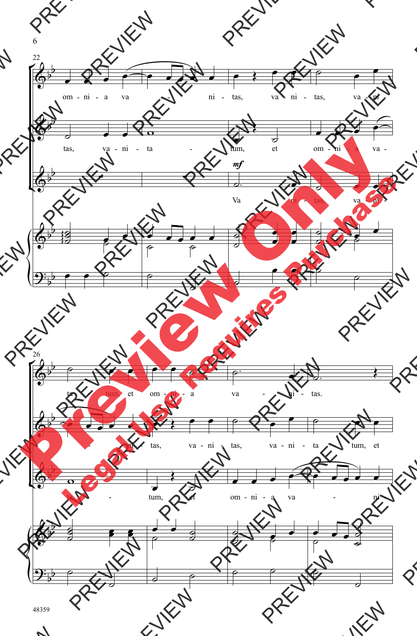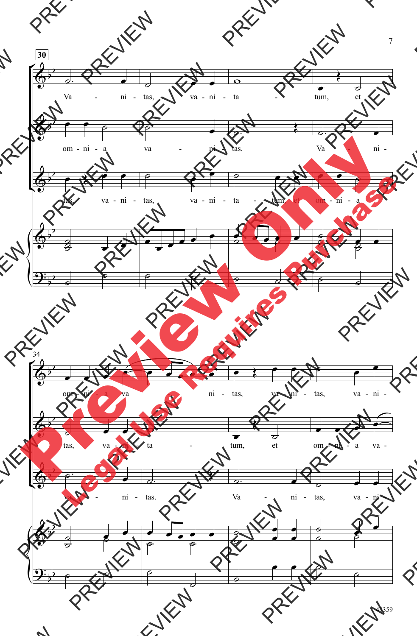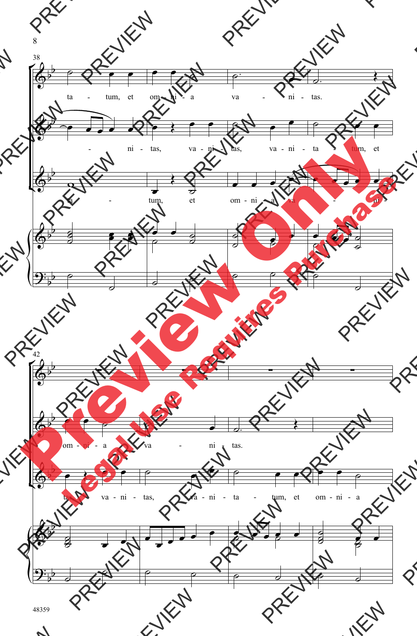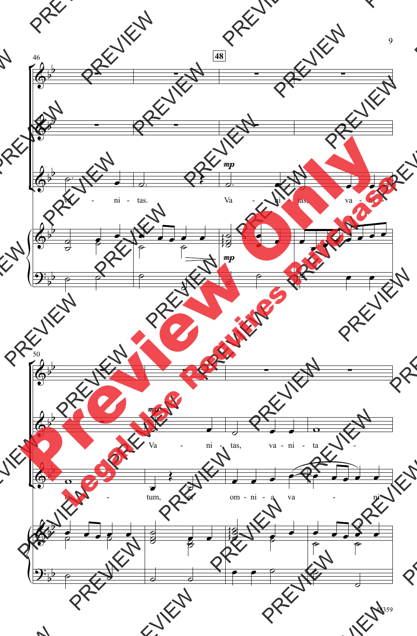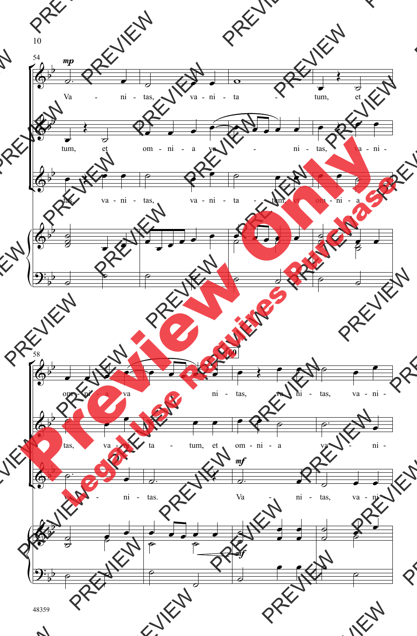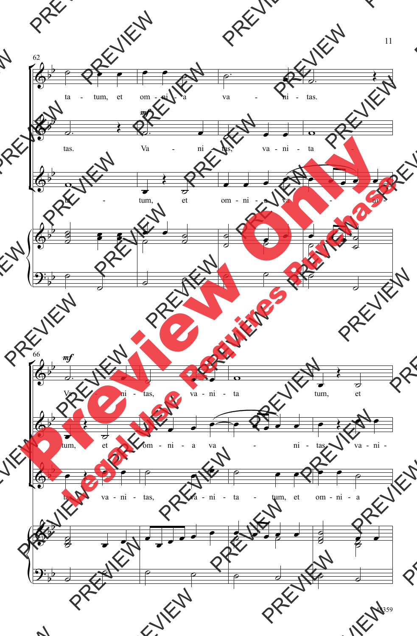